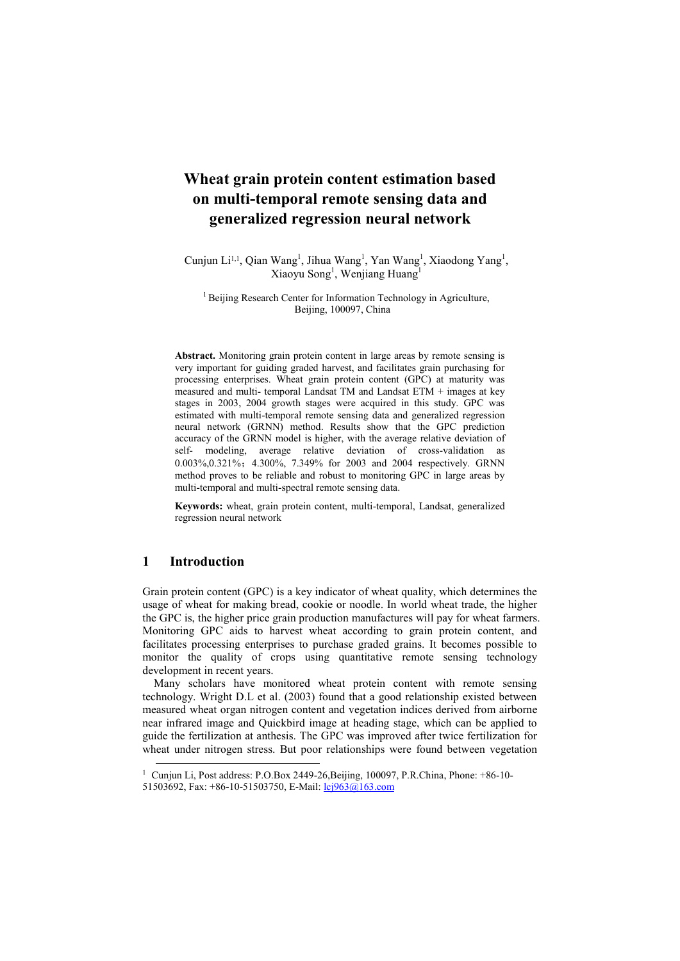# **Wheat grain protein content estimation based on multi-temporal remote sensing data and generalized regression neural network**

Cunjun Li<sup>1,1</sup>, Qian Wang<sup>1</sup>, Jihua Wang<sup>1</sup>, Yan Wang<sup>1</sup>, Xiaodong Yang<sup>1</sup>, Xiaoyu Song<sup>1</sup>, Wenjiang Huang<sup>1</sup>

<sup>1</sup> Beijing Research Center for Information Technology in Agriculture, Beijing, 100097, China

**Abstract.** Monitoring grain protein content in large areas by remote sensing is very important for guiding graded harvest, and facilitates grain purchasing for processing enterprises. Wheat grain protein content (GPC) at maturity was measured and multi- temporal Landsat TM and Landsat ETM + images at key stages in 2003, 2004 growth stages were acquired in this study. GPC was estimated with multi-temporal remote sensing data and generalized regression neural network (GRNN) method. Results show that the GPC prediction accuracy of the GRNN model is higher, with the average relative deviation of self- modeling, average relative deviation of cross-validation as 0.003%,0.321%; 4.300%, 7.349% for 2003 and 2004 respectively. GRNN method proves to be reliable and robust to monitoring GPC in large areas by multi-temporal and multi-spectral remote sensing data.

**Keywords:** wheat, grain protein content, multi-temporal, Landsat, generalized regression neural network

### **1 Introduction**

-

Grain protein content (GPC) is a key indicator of wheat quality, which determines the usage of wheat for making bread, cookie or noodle. In world wheat trade, the higher the GPC is, the higher price grain production manufactures will pay for wheat farmers. Monitoring GPC aids to harvest wheat according to grain protein content, and facilitates processing enterprises to purchase graded grains. It becomes possible to monitor the quality of crops using quantitative remote sensing technology development in recent years.

Many scholars have monitored wheat protein content with remote sensing technology. Wright D.L et al. (2003) found that a good relationship existed between measured wheat organ nitrogen content and vegetation indices derived from airborne near infrared image and Quickbird image at heading stage, which can be applied to guide the fertilization at anthesis. The GPC was improved after twice fertilization for wheat under nitrogen stress. But poor relationships were found between vegetation

<sup>1</sup> Cunjun Li, Post address: P.O.Box 2449-26,Beijing, 100097, P.R.China, Phone: +86-10- 51503692, Fax: +86-10-51503750, E-Mail[: lcj963@163.com](mailto:lcj963@163.com)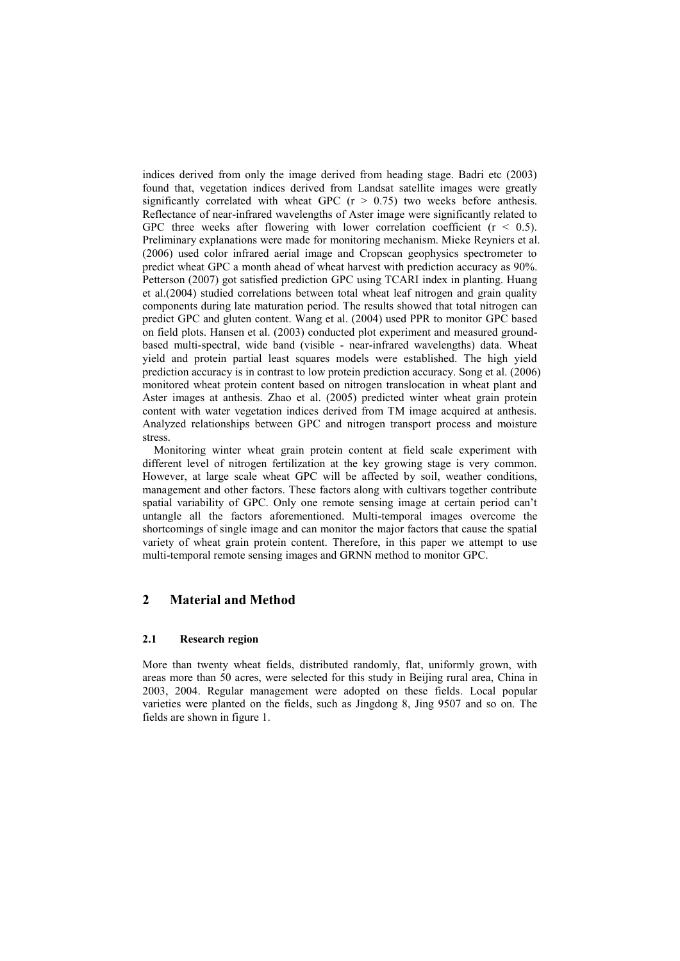indices derived from only the image derived from heading stage. Badri etc (2003) found that, vegetation indices derived from Landsat satellite images were greatly significantly correlated with wheat GPC  $(r > 0.75)$  two weeks before anthesis. Reflectance of near-infrared wavelengths of Aster image were significantly related to GPC three weeks after flowering with lower correlation coefficient  $(r < 0.5)$ . Preliminary explanations were made for monitoring mechanism. Mieke Reyniers et al. (2006) used color infrared aerial image and Cropscan geophysics spectrometer to predict wheat GPC a month ahead of wheat harvest with prediction accuracy as 90%. Petterson (2007) got satisfied prediction GPC using TCARI index in planting. Huang et al.(2004) studied correlations between total wheat leaf nitrogen and grain quality components during late maturation period. The results showed that total nitrogen can predict GPC and gluten content. Wang et al. (2004) used PPR to monitor GPC based on field plots. Hansen et al. (2003) conducted plot experiment and measured groundbased multi-spectral, wide band (visible - near-infrared wavelengths) data. Wheat yield and protein partial least squares models were established. The high yield prediction accuracy is in contrast to low protein prediction accuracy. Song et al. (2006) monitored wheat protein content based on nitrogen translocation in wheat plant and Aster images at anthesis. Zhao et al. (2005) predicted winter wheat grain protein content with water vegetation indices derived from TM image acquired at anthesis. Analyzed relationships between GPC and nitrogen transport process and moisture stress.

Monitoring winter wheat grain protein content at field scale experiment with different level of nitrogen fertilization at the key growing stage is very common. However, at large scale wheat GPC will be affected by soil, weather conditions, management and other factors. These factors along with cultivars together contribute spatial variability of GPC. Only one remote sensing image at certain period can't untangle all the factors aforementioned. Multi-temporal images overcome the shortcomings of single image and can monitor the major factors that cause the spatial variety of wheat grain protein content. Therefore, in this paper we attempt to use multi-temporal remote sensing images and GRNN method to monitor GPC.

# **2 Material and Method**

### **2.1 Research region**

More than twenty wheat fields, distributed randomly, flat, uniformly grown, with areas more than 50 acres, were selected for this study in Beijing rural area, China in 2003, 2004. Regular management were adopted on these fields. Local popular varieties were planted on the fields, such as Jingdong 8, Jing 9507 and so on. The fields are shown in figure 1.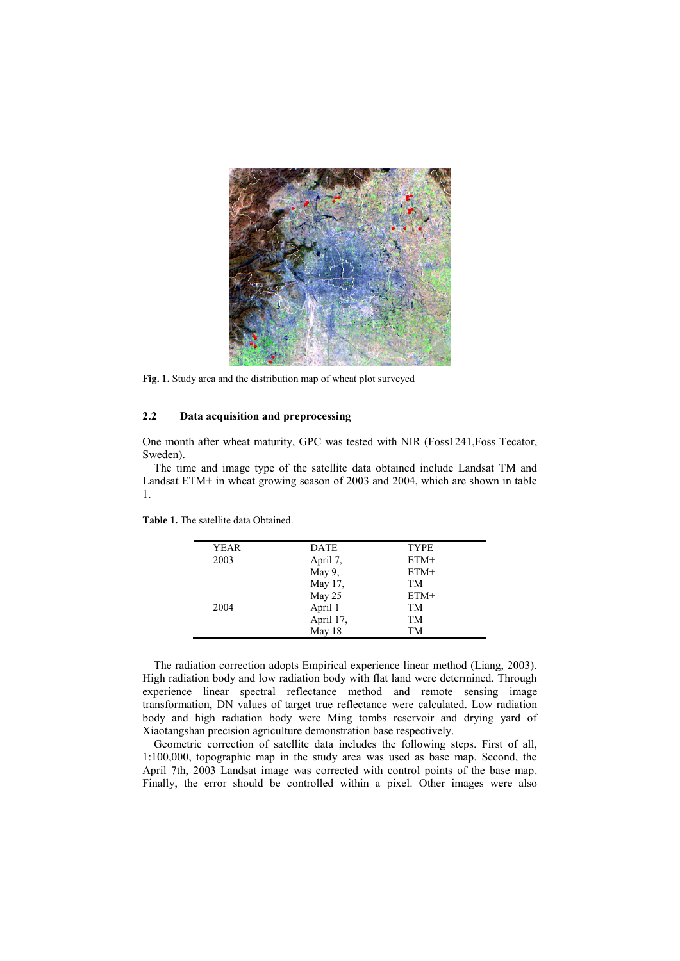

**Fig. 1.** Study area and the distribution map of wheat plot surveyed

#### **2.2 Data acquisition and preprocessing**

One month after wheat maturity, GPC was tested with NIR (Foss1241,Foss Tecator, Sweden).

The time and image type of the satellite data obtained include Landsat TM and Landsat ETM+ in wheat growing season of 2003 and 2004, which are shown in table 1.

| <b>YEAR</b> | <b>DATE</b> | <b>TYPE</b> |
|-------------|-------------|-------------|
| 2003        | April 7,    | $ETM+$      |
|             | May 9,      | $ETM+$      |
|             | May 17,     | TM          |
|             | May 25      | $ETM+$      |
| 2004        | April 1     | TM          |
|             | April 17,   | TM          |
|             | May 18      | TМ          |

**Table 1.** The satellite data Obtained.

The radiation correction adopts Empirical experience linear method (Liang, 2003). High radiation body and low radiation body with flat land were determined. Through experience linear spectral reflectance method and remote sensing image transformation, DN values of target true reflectance were calculated. Low radiation body and high radiation body were Ming tombs reservoir and drying yard of Xiaotangshan precision agriculture demonstration base respectively.

Geometric correction of satellite data includes the following steps. First of all, 1:100,000, topographic map in the study area was used as base map. Second, the April 7th, 2003 Landsat image was corrected with control points of the base map. Finally, the error should be controlled within a pixel. Other images were also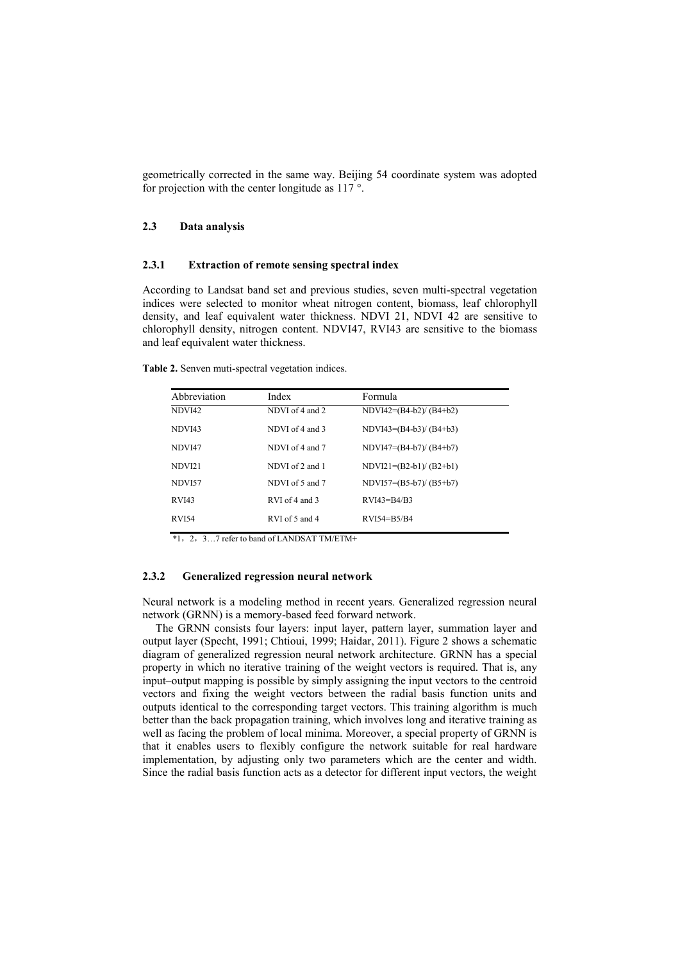geometrically corrected in the same way. Beijing 54 coordinate system was adopted for projection with the center longitude as 117 °.

#### **2.3 Data analysis**

#### **2.3.1 Extraction of remote sensing spectral index**

According to Landsat band set and previous studies, seven multi-spectral vegetation indices were selected to monitor wheat nitrogen content, biomass, leaf chlorophyll density, and leaf equivalent water thickness. NDVI 21, NDVI 42 are sensitive to chlorophyll density, nitrogen content. NDVI47, RVI43 are sensitive to the biomass and leaf equivalent water thickness.

**Table 2.** Senven muti-spectral vegetation indices.

| Abbreviation       | Index           | Formula                  |
|--------------------|-----------------|--------------------------|
| NDVI42             | NDVI of 4 and 2 | $NDVI42=(B4-b2)/(B4+b2)$ |
| NDVI43             | NDVI of 4 and 3 | $NDVI43=(B4-b3)/(B4+b3)$ |
| NDVI47             | NDVI of 4 and 7 | $NDVI47=(B4-b7)/(B4+b7)$ |
| NDVI <sub>21</sub> | NDVI of 2 and 1 | $NDVI21=(B2-b1)/(B2+b1)$ |
| NDVI57             | NDVI of 5 and 7 | $NDVI57=(B5-b7)/(B5+b7)$ |
| <b>RVI43</b>       | RVI of 4 and 3  | $RVI43 = B4/B3$          |
| <b>RVI54</b>       | RVI of 5 and 4  | $RVI54 = B5/B4$          |

\*1,2,3…7 refer to band of LANDSAT TM/ETM+

#### **2.3.2 Generalized regression neural network**

Neural network is a modeling method in recent years. Generalized regression neural network (GRNN) is a memory-based feed forward network.

The GRNN consists four layers: input layer, pattern layer, summation layer and output layer (Specht, 1991; Chtioui, 1999; Haidar, 2011). Figure 2 shows a schematic diagram of generalized regression neural network architecture. GRNN has a special property in which no iterative training of the weight vectors is required. That is, any input–output mapping is possible by simply assigning the input vectors to the centroid vectors and fixing the weight vectors between the radial basis function units and outputs identical to the corresponding target vectors. This training algorithm is much better than the back propagation training, which involves long and iterative training as well as facing the problem of local minima. Moreover, a special property of GRNN is that it enables users to flexibly configure the network suitable for real hardware implementation, by adjusting only two parameters which are the center and width. Since the radial basis function acts as a detector for different input vectors, the weight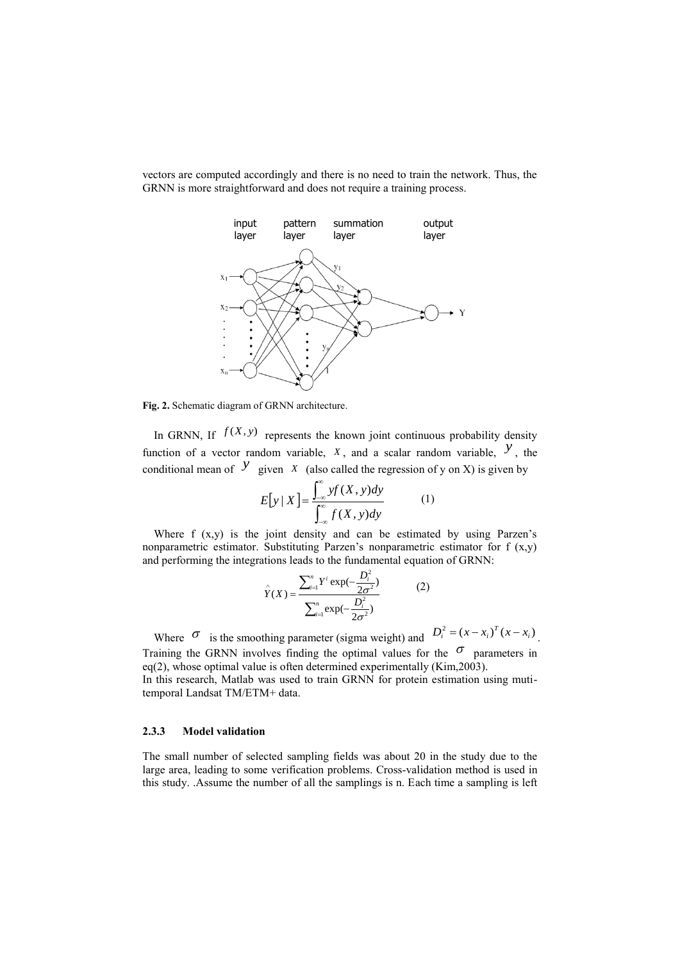vectors are computed accordingly and there is no need to train the network. Thus, the GRNN is more straightforward and does not require a training process.



**Fig. 2.** Schematic diagram of GRNN architecture.

In GRNN, If  $f(X, y)$  represents the known joint continuous probability density function of a vector random variable,  $X$ , and a scalar random variable,  $\overline{Y}$ , the conditional mean of  $\overline{y}$  given  $\overline{x}$  (also called the regression of y on X) is given by

$$
E[y \mid X] = \frac{\int_{-\infty}^{\infty} yf(X, y)dy}{\int_{-\infty}^{\infty} f(X, y)dy}
$$
 (1)

Where f (x,y) is the joint density and can be estimated by using Parzen's nonparametric estimator. Substituting Parzen's nonparametric estimator for  $f(x,y)$ and performing the integrations leads to the fundamental equation of GRNN:

$$
\hat{Y}(X) = \frac{\sum_{i=1}^{n} Y^{i} \exp(-\frac{D_i^2}{2\sigma^2})}{\sum_{i=1}^{n} \exp(-\frac{D_i^2}{2\sigma^2})}
$$
(2)

Where  $\sigma$  is the smoothing parameter (sigma weight) and  $D_i^2 = (x - x_i)^T (x - x_i)$ . Training the GRNN involves finding the optimal values for the  $\sigma$  parameters in eq(2), whose optimal value is often determined experimentally (Kim,2003). In this research, Matlab was used to train GRNN for protein estimation using muti-

temporal Landsat TM/ETM+ data.

#### **2.3.3 Model validation**

The small number of selected sampling fields was about 20 in the study due to the large area, leading to some verification problems. Cross-validation method is used in this study. .Assume the number of all the samplings is n. Each time a sampling is left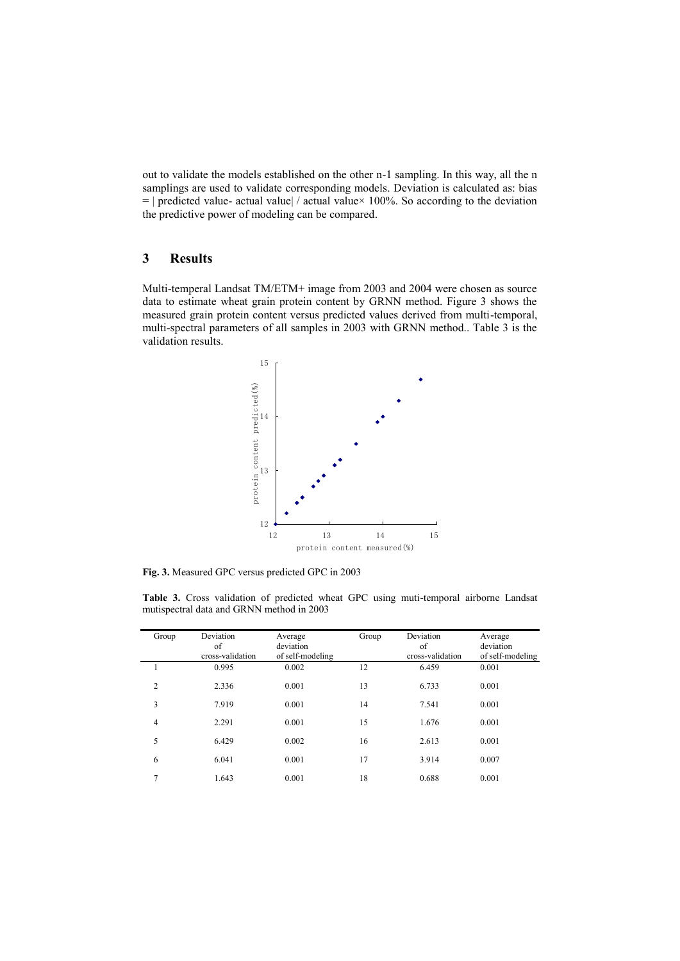out to validate the models established on the other n-1 sampling. In this way, all the n samplings are used to validate corresponding models. Deviation is calculated as: bias  $=$  | predicted value- actual value| / actual value× 100%. So according to the deviation the predictive power of modeling can be compared.

### **3 Results**

Multi-temperal Landsat TM/ETM+ image from 2003 and 2004 were chosen as source data to estimate wheat grain protein content by GRNN method. Figure 3 shows the measured grain protein content versus predicted values derived from multi-temporal, multi-spectral parameters of all samples in 2003 with GRNN method.. Table 3 is the validation results.



**Fig. 3.** Measured GPC versus predicted GPC in 2003

**Table 3.** Cross validation of predicted wheat GPC using muti-temporal airborne Landsat mutispectral data and GRNN method in 2003

| 0.995<br>0.002<br>12<br>6.459<br>0.001                   | of self-modeling |
|----------------------------------------------------------|------------------|
|                                                          |                  |
| $\overline{2}$<br>13<br>0.001<br>0.001<br>2.336<br>6.733 |                  |
| 3<br>14<br>7.919<br>0.001<br>0.001<br>7.541              |                  |
| 15<br>$\overline{4}$<br>2.291<br>0.001<br>1.676<br>0.001 |                  |
| 5<br>16<br>6.429<br>0.002<br>0.001<br>2.613              |                  |
| 17<br>6<br>0.001<br>6.041<br>3.914<br>0.007              |                  |
| 7<br>18<br>1.643<br>0.001<br>0.688<br>0.001              |                  |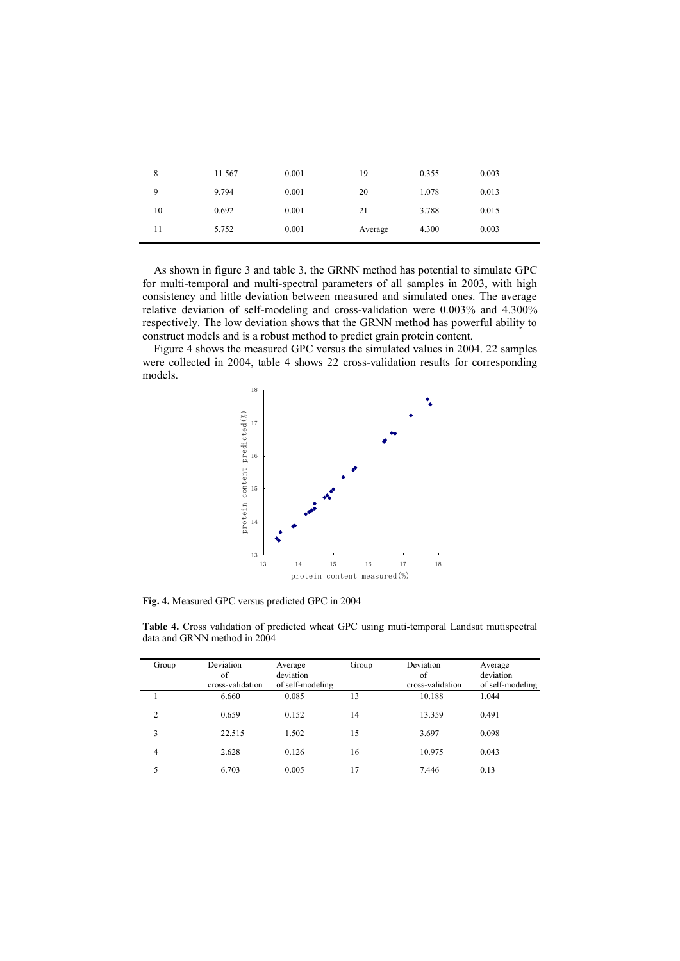| 8  | 11.567 | 0.001 | 19      | 0.355 | 0.003 |
|----|--------|-------|---------|-------|-------|
| 9  | 9.794  | 0.001 | 20      | 1.078 | 0.013 |
| 10 | 0.692  | 0.001 | 21      | 3.788 | 0.015 |
| 11 | 5.752  | 0.001 | Average | 4.300 | 0.003 |

As shown in figure 3 and table 3, the GRNN method has potential to simulate GPC for multi-temporal and multi-spectral parameters of all samples in 2003, with high consistency and little deviation between measured and simulated ones. The average relative deviation of self-modeling and cross-validation were 0.003% and 4.300% respectively. The low deviation shows that the GRNN method has powerful ability to construct models and is a robust method to predict grain protein content.

Figure 4 shows the measured GPC versus the simulated values in 2004. 22 samples were collected in 2004, table 4 shows 22 cross-validation results for corresponding models.



**Fig. 4.** Measured GPC versus predicted GPC in 2004

Ŷ.

| Group | Deviation<br>of<br>cross-validation | Average<br>deviation<br>of self-modeling | Group | Deviation<br>of<br>cross-validation | Average<br>deviation<br>of self-modeling |
|-------|-------------------------------------|------------------------------------------|-------|-------------------------------------|------------------------------------------|
|       | 6.660                               | 0.085                                    | 13    | 10.188                              | 1.044                                    |
| 2     | 0.659                               | 0.152                                    | 14    | 13.359                              | 0.491                                    |
| 3     | 22.515                              | 1.502                                    | 15    | 3.697                               | 0.098                                    |
| 4     | 2.628                               | 0.126                                    | 16    | 10.975                              | 0.043                                    |
| 5     | 6.703                               | 0.005                                    | 17    | 7.446                               | 0.13                                     |

**Table 4.** Cross validation of predicted wheat GPC using muti-temporal Landsat mutispectral data and GRNN method in 2004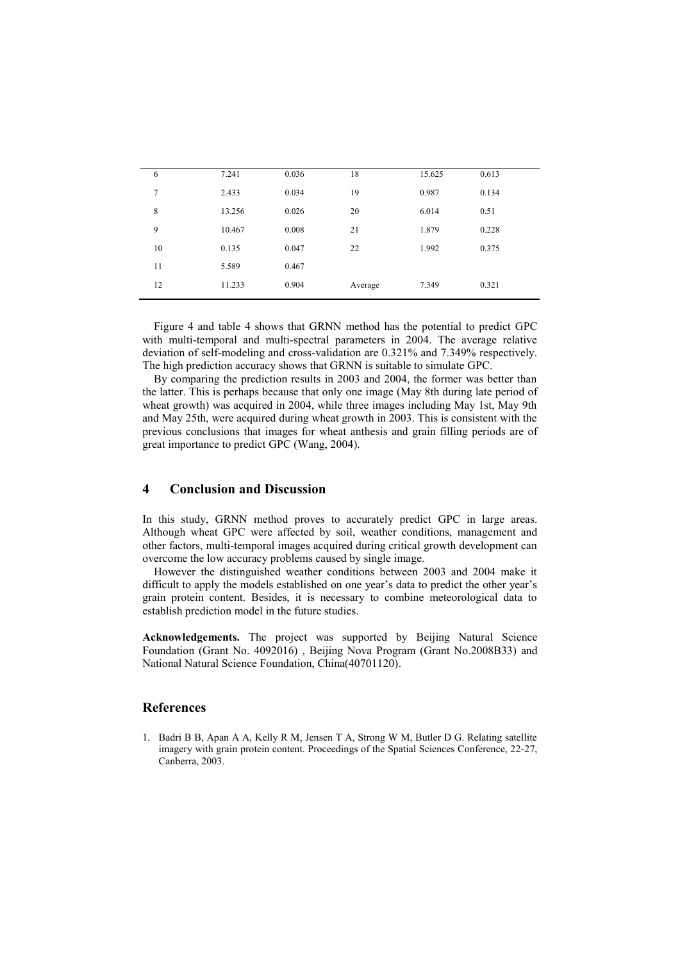| 6  | 7.241  | 0.036 | 18      | 15.625 | 0.613 |
|----|--------|-------|---------|--------|-------|
| 7  | 2.433  | 0.034 | 19      | 0.987  | 0.134 |
| 8  | 13.256 | 0.026 | 20      | 6.014  | 0.51  |
| 9  | 10.467 | 0.008 | 21      | 1.879  | 0.228 |
| 10 | 0.135  | 0.047 | 22      | 1.992  | 0.375 |
| 11 | 5.589  | 0.467 |         |        |       |
| 12 | 11.233 | 0.904 | Average | 7.349  | 0.321 |
|    |        |       |         |        |       |

Figure 4 and table 4 shows that GRNN method has the potential to predict GPC with multi-temporal and multi-spectral parameters in 2004. The average relative deviation of self-modeling and cross-validation are 0.321% and 7.349% respectively. The high prediction accuracy shows that GRNN is suitable to simulate GPC.

By comparing the prediction results in 2003 and 2004, the former was better than the latter. This is perhaps because that only one image (May 8th during late period of wheat growth) was acquired in 2004, while three images including May 1st, May 9th and May 25th, were acquired during wheat growth in 2003. This is consistent with the previous conclusions that images for wheat anthesis and grain filling periods are of great importance to predict GPC (Wang, 2004).

# **4 Conclusion and Discussion**

In this study, GRNN method proves to accurately predict GPC in large areas. Although wheat GPC were affected by soil, weather conditions, management and other factors, multi-temporal images acquired during critical growth development can overcome the low accuracy problems caused by single image.

However the distinguished weather conditions between 2003 and 2004 make it difficult to apply the models established on one year's data to predict the other year's grain protein content. Besides, it is necessary to combine meteorological data to establish prediction model in the future studies.

**Acknowledgements.** The project was supported by Beijing Natural Science Foundation (Grant No. 4092016) , Beijing Nova Program (Grant No.2008B33) and National Natural Science Foundation, China(40701120).

#### **References**

1. Badri B B, Apan A A, Kelly R M, Jensen T A, Strong W M, Butler D G. Relating satellite imagery with grain protein content. Proceedings of the Spatial Sciences Conference, 22-27, Canberra, 2003.